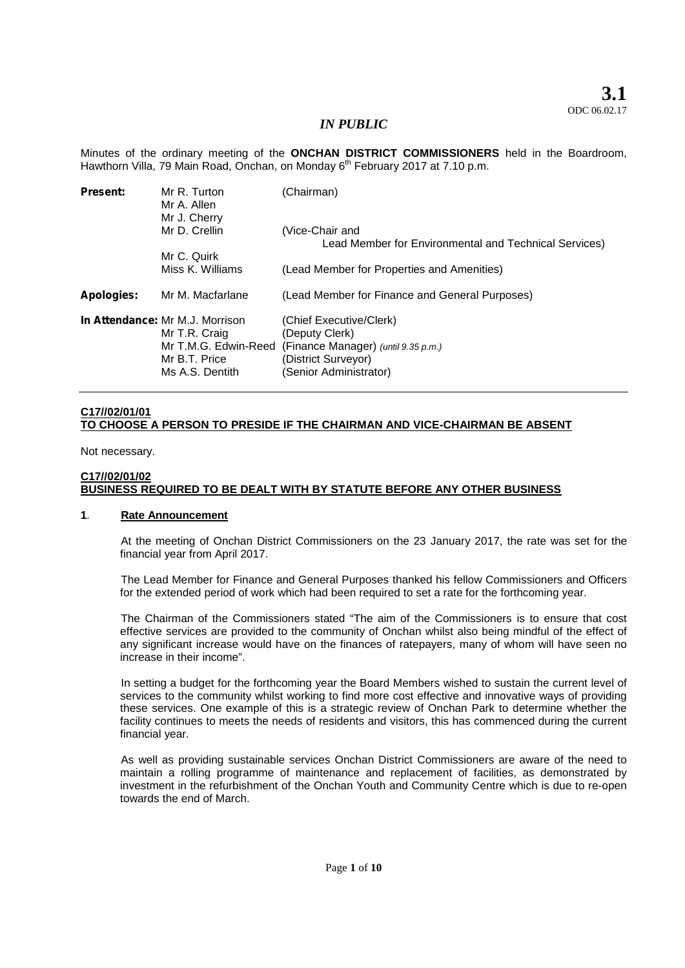Minutes of the ordinary meeting of the **ONCHAN DISTRICT COMMISSIONERS** held in the Boardroom, Hawthorn Villa, 79 Main Road, Onchan, on Monday 6<sup>th</sup> February 2017 at 7.10 p.m.

| <b>Present:</b>   | Mr R. Turton<br>Mr A. Allen<br>Mr J. Cherry                                                                  | (Chairman)                                                                                                                        |
|-------------------|--------------------------------------------------------------------------------------------------------------|-----------------------------------------------------------------------------------------------------------------------------------|
|                   | Mr D. Crellin                                                                                                | (Vice-Chair and                                                                                                                   |
|                   |                                                                                                              | Lead Member for Environmental and Technical Services)                                                                             |
|                   | Mr C. Quirk                                                                                                  |                                                                                                                                   |
|                   | Miss K. Williams                                                                                             | (Lead Member for Properties and Amenities)                                                                                        |
| <b>Apologies:</b> | Mr M. Macfarlane                                                                                             | (Lead Member for Finance and General Purposes)                                                                                    |
|                   | In Attendance: Mr M.J. Morrison<br>Mr T.R. Craig<br>Mr T.M.G. Edwin-Reed<br>Mr B.T. Price<br>Ms A.S. Dentith | (Chief Executive/Clerk)<br>(Deputy Clerk)<br>(Finance Manager) (until 9.35 p.m.)<br>(District Surveyor)<br>(Senior Administrator) |

# **C17//02/01/01 TO CHOOSE A PERSON TO PRESIDE IF THE CHAIRMAN AND VICE-CHAIRMAN BE ABSENT**

Not necessary.

#### **C17//02/01/02 BUSINESS REQUIRED TO BE DEALT WITH BY STATUTE BEFORE ANY OTHER BUSINESS**

# **1**. **Rate Announcement**

At the meeting of Onchan District Commissioners on the 23 January 2017, the rate was set for the financial year from April 2017.

The Lead Member for Finance and General Purposes thanked his fellow Commissioners and Officers for the extended period of work which had been required to set a rate for the forthcoming year.

The Chairman of the Commissioners stated "The aim of the Commissioners is to ensure that cost effective services are provided to the community of Onchan whilst also being mindful of the effect of any significant increase would have on the finances of ratepayers, many of whom will have seen no increase in their income".

In setting a budget for the forthcoming year the Board Members wished to sustain the current level of services to the community whilst working to find more cost effective and innovative ways of providing these services. One example of this is a strategic review of Onchan Park to determine whether the facility continues to meets the needs of residents and visitors, this has commenced during the current financial year.

As well as providing sustainable services Onchan District Commissioners are aware of the need to maintain a rolling programme of maintenance and replacement of facilities, as demonstrated by investment in the refurbishment of the Onchan Youth and Community Centre which is due to re-open towards the end of March.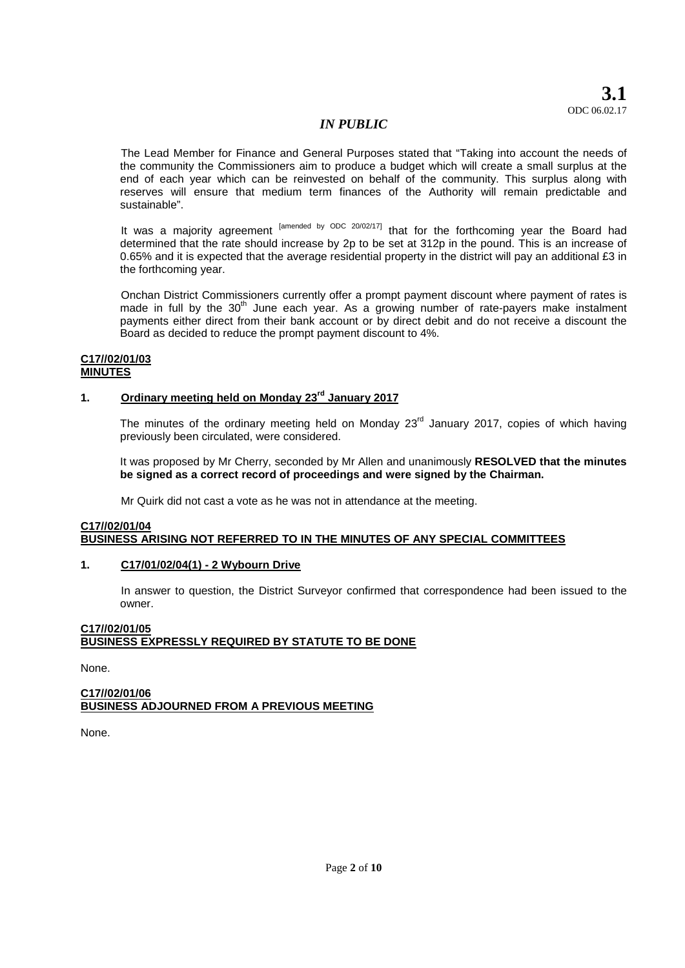**3.1** ODC 06.02.17

# *IN PUBLIC*

The Lead Member for Finance and General Purposes stated that "Taking into account the needs of the community the Commissioners aim to produce a budget which will create a small surplus at the end of each year which can be reinvested on behalf of the community. This surplus along with reserves will ensure that medium term finances of the Authority will remain predictable and sustainable".

It was a majority agreement <sup>[amended by ODC 20/02/17]</sup> that for the forthcoming year the Board had determined that the rate should increase by 2p to be set at 312p in the pound. This is an increase of 0.65% and it is expected that the average residential property in the district will pay an additional £3 in the forthcoming year.

Onchan District Commissioners currently offer a prompt payment discount where payment of rates is made in full by the  $30<sup>th</sup>$  June each year. As a growing number of rate-payers make instalment payments either direct from their bank account or by direct debit and do not receive a discount the Board as decided to reduce the prompt payment discount to 4%.

#### **C17//02/01/03 MINUTES**

# **1. Ordinary meeting held on Monday 23rd January 2017**

The minutes of the ordinary meeting held on Monday  $23<sup>rd</sup>$  January 2017, copies of which having previously been circulated, were considered.

It was proposed by Mr Cherry, seconded by Mr Allen and unanimously **RESOLVED that the minutes be signed as a correct record of proceedings and were signed by the Chairman.**

Mr Quirk did not cast a vote as he was not in attendance at the meeting.

# **C17//02/01/04 BUSINESS ARISING NOT REFERRED TO IN THE MINUTES OF ANY SPECIAL COMMITTEES**

# **1. C17/01/02/04(1) - 2 Wybourn Drive**

In answer to question, the District Surveyor confirmed that correspondence had been issued to the owner.

# **C17//02/01/05 BUSINESS EXPRESSLY REQUIRED BY STATUTE TO BE DONE**

None.

# **C17//02/01/06 BUSINESS ADJOURNED FROM A PREVIOUS MEETING**

None.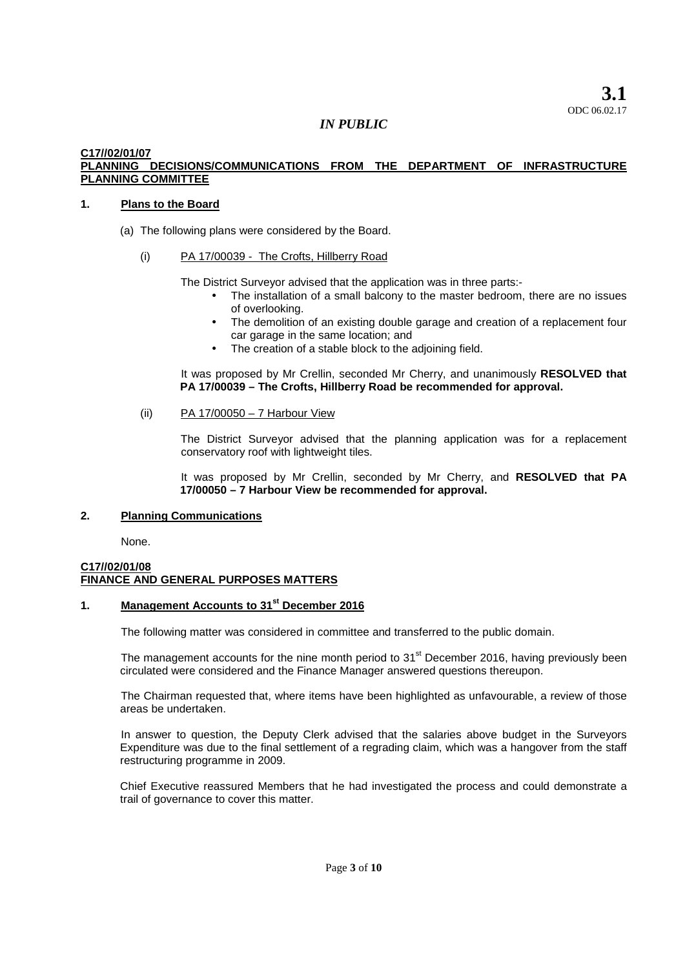## **C17//02/01/07 PLANNING DECISIONS/COMMUNICATIONS FROM THE DEPARTMENT OF INFRASTRUCTURE PLANNING COMMITTEE**

# **1. Plans to the Board**

- (a) The following plans were considered by the Board.
	- (i) PA 17/00039 The Crofts, Hillberry Road

The District Surveyor advised that the application was in three parts:-

- The installation of a small balcony to the master bedroom, there are no issues of overlooking.
- The demolition of an existing double garage and creation of a replacement four car garage in the same location; and
- The creation of a stable block to the adjoining field.

It was proposed by Mr Crellin, seconded Mr Cherry, and unanimously **RESOLVED that PA 17/00039 – The Crofts, Hillberry Road be recommended for approval.**

## (ii) PA 17/00050 – 7 Harbour View

The District Surveyor advised that the planning application was for a replacement conservatory roof with lightweight tiles.

It was proposed by Mr Crellin, seconded by Mr Cherry, and **RESOLVED that PA 17/00050 – 7 Harbour View be recommended for approval.**

# **2. Planning Communications**

None.

# **C17//02/01/08 FINANCE AND GENERAL PURPOSES MATTERS**

# **1. Management Accounts to 31st December 2016**

The following matter was considered in committee and transferred to the public domain.

The management accounts for the nine month period to 31<sup>st</sup> December 2016, having previously been circulated were considered and the Finance Manager answered questions thereupon.

The Chairman requested that, where items have been highlighted as unfavourable, a review of those areas be undertaken.

In answer to question, the Deputy Clerk advised that the salaries above budget in the Surveyors Expenditure was due to the final settlement of a regrading claim, which was a hangover from the staff restructuring programme in 2009.

Chief Executive reassured Members that he had investigated the process and could demonstrate a trail of governance to cover this matter.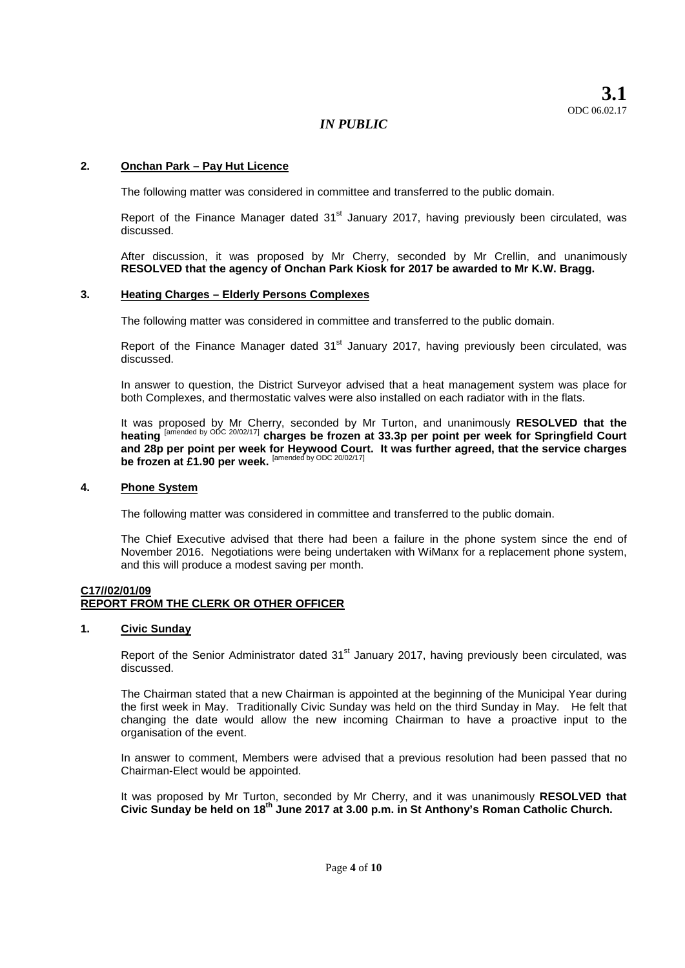# **2. Onchan Park – Pay Hut Licence**

The following matter was considered in committee and transferred to the public domain.

Report of the Finance Manager dated  $31<sup>st</sup>$  January 2017, having previously been circulated, was discussed.

After discussion, it was proposed by Mr Cherry, seconded by Mr Crellin, and unanimously **RESOLVED that the agency of Onchan Park Kiosk for 2017 be awarded to Mr K.W. Bragg.**

#### **3. Heating Charges – Elderly Persons Complexes**

The following matter was considered in committee and transferred to the public domain.

Report of the Finance Manager dated  $31<sup>st</sup>$  January 2017, having previously been circulated, was discussed.

In answer to question, the District Surveyor advised that a heat management system was place for both Complexes, and thermostatic valves were also installed on each radiator with in the flats.

It was proposed by Mr Cherry, seconded by Mr Turton, and unanimously **RESOLVED that the heating** [amended by ODC 20/02/17] **charges be frozen at 33.3p per point per week for Springfield Court and 28p per point per week for Heywood Court. It was further agreed, that the service charges be frozen at £1.90 per week.** [amended by ODC 20/02/17]

#### **4. Phone System**

The following matter was considered in committee and transferred to the public domain.

The Chief Executive advised that there had been a failure in the phone system since the end of November 2016. Negotiations were being undertaken with WiManx for a replacement phone system, and this will produce a modest saving per month.

## **C17//02/01/09 REPORT FROM THE CLERK OR OTHER OFFICER**

## **1. Civic Sunday**

Report of the Senior Administrator dated 31<sup>st</sup> January 2017, having previously been circulated, was discussed.

The Chairman stated that a new Chairman is appointed at the beginning of the Municipal Year during the first week in May. Traditionally Civic Sunday was held on the third Sunday in May. He felt that changing the date would allow the new incoming Chairman to have a proactive input to the organisation of the event.

In answer to comment, Members were advised that a previous resolution had been passed that no Chairman-Elect would be appointed.

It was proposed by Mr Turton, seconded by Mr Cherry, and it was unanimously **RESOLVED that Civic Sunday be held on 18th June 2017 at 3.00 p.m. in St Anthony's Roman Catholic Church.**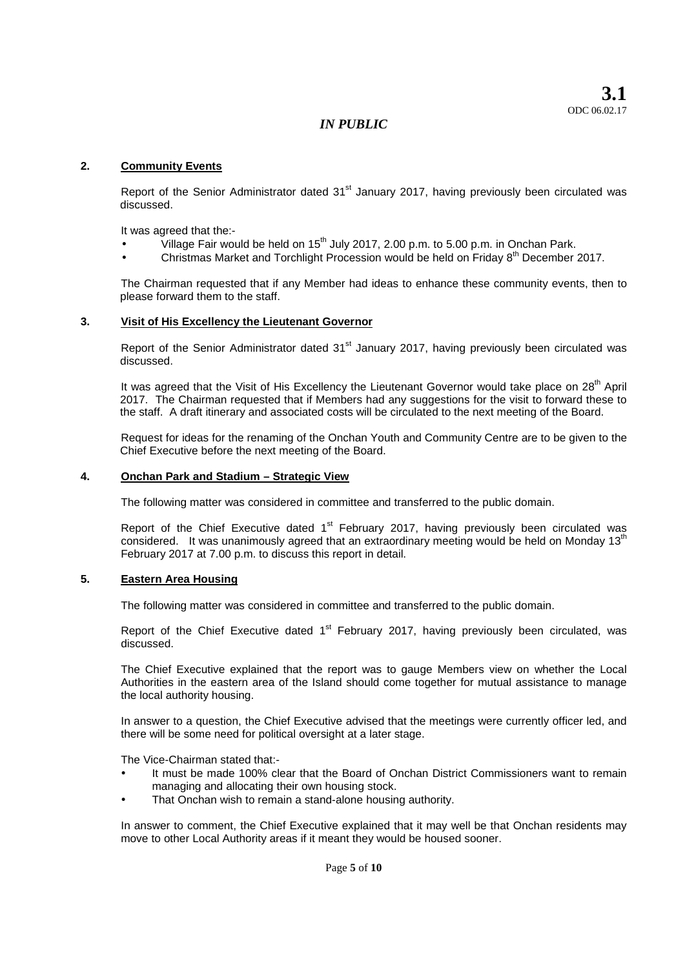# **2. Community Events**

Report of the Senior Administrator dated 31<sup>st</sup> January 2017, having previously been circulated was discussed.

It was agreed that the:-

- Village Fair would be held on  $15<sup>th</sup>$  July 2017, 2.00 p.m. to 5.00 p.m. in Onchan Park.
- Christmas Market and Torchlight Procession would be held on Friday 8<sup>th</sup> December 2017.

The Chairman requested that if any Member had ideas to enhance these community events, then to please forward them to the staff.

#### **3. Visit of His Excellency the Lieutenant Governor**

Report of the Senior Administrator dated 31<sup>st</sup> January 2017, having previously been circulated was discussed.

It was agreed that the Visit of His Excellency the Lieutenant Governor would take place on 28<sup>th</sup> April 2017. The Chairman requested that if Members had any suggestions for the visit to forward these to the staff. A draft itinerary and associated costs will be circulated to the next meeting of the Board.

Request for ideas for the renaming of the Onchan Youth and Community Centre are to be given to the Chief Executive before the next meeting of the Board.

#### **4. Onchan Park and Stadium – Strategic View**

The following matter was considered in committee and transferred to the public domain.

Report of the Chief Executive dated  $1<sup>st</sup>$  February 2017, having previously been circulated was considered. It was unanimously agreed that an extraordinary meeting would be held on Monday 13<sup>th</sup> February 2017 at 7.00 p.m. to discuss this report in detail.

# **5. Eastern Area Housing**

The following matter was considered in committee and transferred to the public domain.

Report of the Chief Executive dated  $1<sup>st</sup>$  February 2017, having previously been circulated, was discussed.

The Chief Executive explained that the report was to gauge Members view on whether the Local Authorities in the eastern area of the Island should come together for mutual assistance to manage the local authority housing.

In answer to a question, the Chief Executive advised that the meetings were currently officer led, and there will be some need for political oversight at a later stage.

The Vice-Chairman stated that:-

- It must be made 100% clear that the Board of Onchan District Commissioners want to remain managing and allocating their own housing stock.
- That Onchan wish to remain a stand-alone housing authority.

In answer to comment, the Chief Executive explained that it may well be that Onchan residents may move to other Local Authority areas if it meant they would be housed sooner.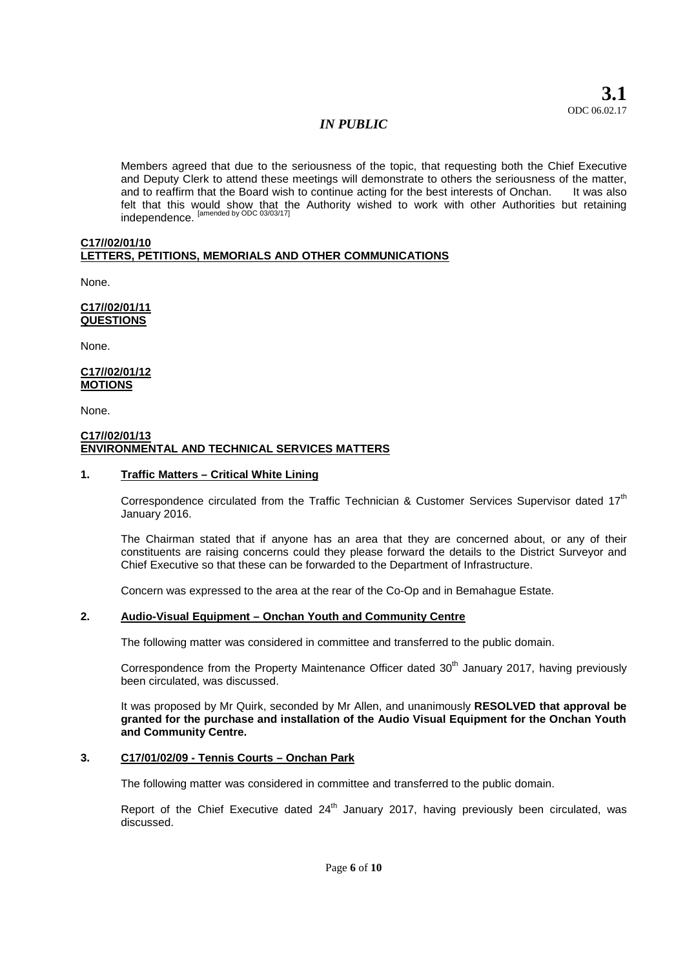**3.1** ODC 06.02.17

# *IN PUBLIC*

Members agreed that due to the seriousness of the topic, that requesting both the Chief Executive and Deputy Clerk to attend these meetings will demonstrate to others the seriousness of the matter, and to reaffirm that the Board wish to continue acting for the best interests of Onchan. It was also felt that this would show that the Authority wished to work with other Authorities but retaining independence. <sup>[amended by ODC 03/03/17]</sup>

#### **C17//02/01/10 LETTERS, PETITIONS, MEMORIALS AND OTHER COMMUNICATIONS**

None.

**C17//02/01/11 QUESTIONS**

None.

**C17//02/01/12 MOTIONS**

None.

## **C17//02/01/13 ENVIRONMENTAL AND TECHNICAL SERVICES MATTERS**

# **1. Traffic Matters – Critical White Lining**

Correspondence circulated from the Traffic Technician & Customer Services Supervisor dated 17<sup>th</sup> January 2016.

The Chairman stated that if anyone has an area that they are concerned about, or any of their constituents are raising concerns could they please forward the details to the District Surveyor and Chief Executive so that these can be forwarded to the Department of Infrastructure.

Concern was expressed to the area at the rear of the Co-Op and in Bemahague Estate.

# **2. Audio-Visual Equipment – Onchan Youth and Community Centre**

The following matter was considered in committee and transferred to the public domain.

Correspondence from the Property Maintenance Officer dated  $30<sup>th</sup>$  January 2017, having previously been circulated, was discussed.

It was proposed by Mr Quirk, seconded by Mr Allen, and unanimously **RESOLVED that approval be granted for the purchase and installation of the Audio Visual Equipment for the Onchan Youth and Community Centre.**

## **3. C17/01/02/09 - Tennis Courts – Onchan Park**

The following matter was considered in committee and transferred to the public domain.

Report of the Chief Executive dated  $24<sup>th</sup>$  January 2017, having previously been circulated, was discussed.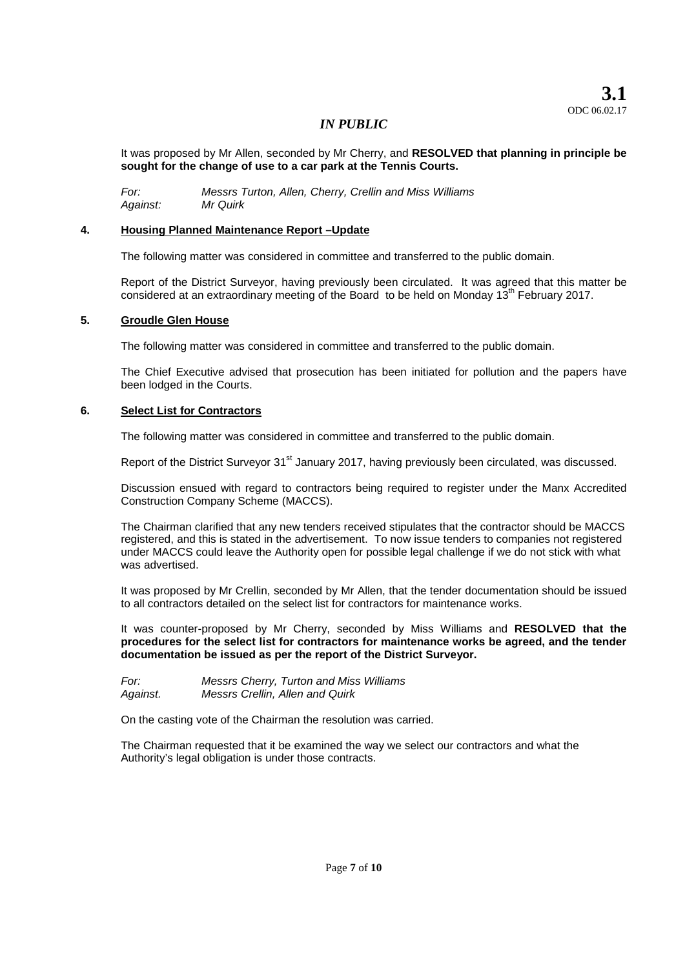It was proposed by Mr Allen, seconded by Mr Cherry, and **RESOLVED that planning in principle be sought for the change of use to a car park at the Tennis Courts.**

*For: Messrs Turton, Allen, Cherry, Crellin and Miss Williams Against: Mr Quirk*

# **4. Housing Planned Maintenance Report –Update**

The following matter was considered in committee and transferred to the public domain.

Report of the District Surveyor, having previously been circulated. It was agreed that this matter be considered at an extraordinary meeting of the Board to be held on Monday  $13<sup>th</sup>$  February 2017.

## **5. Groudle Glen House**

The following matter was considered in committee and transferred to the public domain.

The Chief Executive advised that prosecution has been initiated for pollution and the papers have been lodged in the Courts.

# **6. Select List for Contractors**

The following matter was considered in committee and transferred to the public domain.

Report of the District Surveyor 31<sup>st</sup> January 2017, having previously been circulated, was discussed.

Discussion ensued with regard to contractors being required to register under the Manx Accredited Construction Company Scheme (MACCS).

The Chairman clarified that any new tenders received stipulates that the contractor should be MACCS registered, and this is stated in the advertisement. To now issue tenders to companies not registered under MACCS could leave the Authority open for possible legal challenge if we do not stick with what was advertised.

It was proposed by Mr Crellin, seconded by Mr Allen, that the tender documentation should be issued to all contractors detailed on the select list for contractors for maintenance works.

It was counter-proposed by Mr Cherry, seconded by Miss Williams and **RESOLVED that the procedures for the select list for contractors for maintenance works be agreed, and the tender documentation be issued as per the report of the District Surveyor.**

*For: Messrs Cherry, Turton and Miss Williams Against. Messrs Crellin, Allen and Quirk*

On the casting vote of the Chairman the resolution was carried.

The Chairman requested that it be examined the way we select our contractors and what the Authority's legal obligation is under those contracts.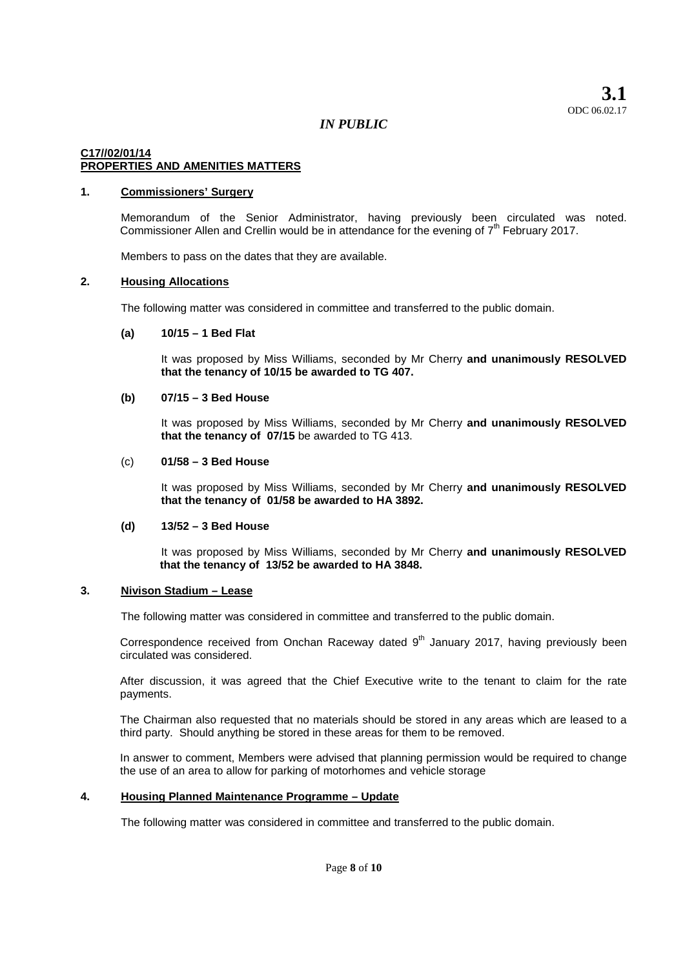## **C17//02/01/14 PROPERTIES AND AMENITIES MATTERS**

#### **1. Commissioners' Surgery**

Memorandum of the Senior Administrator, having previously been circulated was noted. Commissioner Allen and Crellin would be in attendance for the evening of  $7<sup>th</sup>$  February 2017.

Members to pass on the dates that they are available.

#### **2. Housing Allocations**

The following matter was considered in committee and transferred to the public domain.

#### **(a) 10/15 – 1 Bed Flat**

It was proposed by Miss Williams, seconded by Mr Cherry **and unanimously RESOLVED that the tenancy of 10/15 be awarded to TG 407.**

# **(b) 07/15 – 3 Bed House**

It was proposed by Miss Williams, seconded by Mr Cherry **and unanimously RESOLVED that the tenancy of 07/15** be awarded to TG 413.

#### (c) **01/58 – 3 Bed House**

It was proposed by Miss Williams, seconded by Mr Cherry **and unanimously RESOLVED that the tenancy of 01/58 be awarded to HA 3892.**

## **(d) 13/52 – 3 Bed House**

It was proposed by Miss Williams, seconded by Mr Cherry **and unanimously RESOLVED that the tenancy of 13/52 be awarded to HA 3848.**

## **3. Nivison Stadium – Lease**

The following matter was considered in committee and transferred to the public domain.

Correspondence received from Onchan Raceway dated  $9<sup>th</sup>$  January 2017, having previously been circulated was considered.

After discussion, it was agreed that the Chief Executive write to the tenant to claim for the rate payments.

The Chairman also requested that no materials should be stored in any areas which are leased to a third party. Should anything be stored in these areas for them to be removed.

In answer to comment, Members were advised that planning permission would be required to change the use of an area to allow for parking of motorhomes and vehicle storage

#### **4. Housing Planned Maintenance Programme – Update**

The following matter was considered in committee and transferred to the public domain.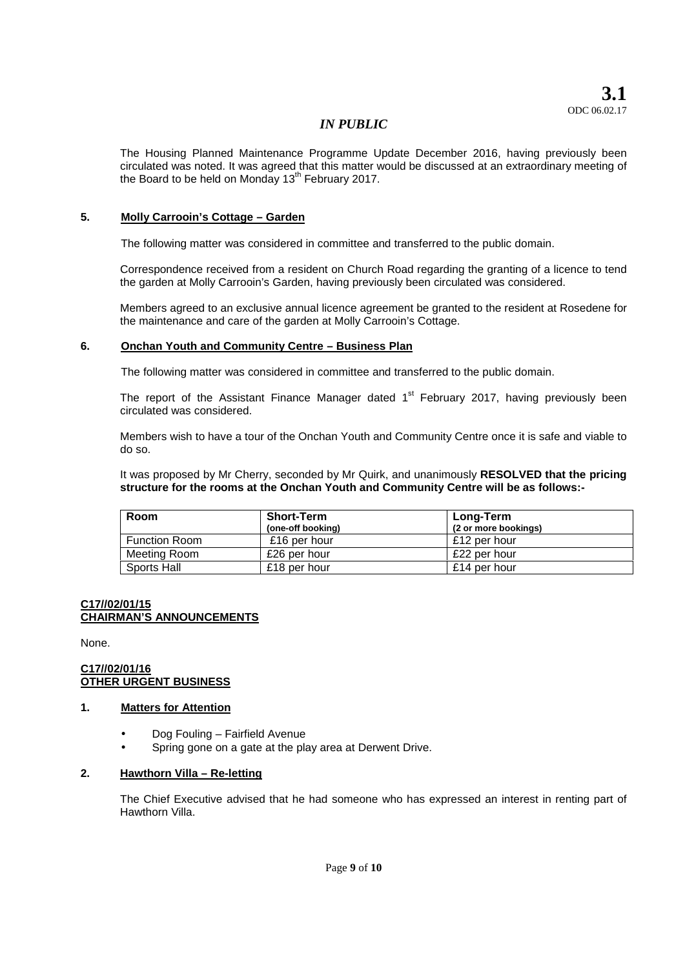The Housing Planned Maintenance Programme Update December 2016, having previously been circulated was noted. It was agreed that this matter would be discussed at an extraordinary meeting of the Board to be held on Monday  $13<sup>th</sup>$  February 2017.

# **5. Molly Carrooin's Cottage – Garden**

The following matter was considered in committee and transferred to the public domain.

Correspondence received from a resident on Church Road regarding the granting of a licence to tend the garden at Molly Carrooin's Garden, having previously been circulated was considered.

Members agreed to an exclusive annual licence agreement be granted to the resident at Rosedene for the maintenance and care of the garden at Molly Carrooin's Cottage.

# **6. Onchan Youth and Community Centre – Business Plan**

The following matter was considered in committee and transferred to the public domain.

The report of the Assistant Finance Manager dated 1<sup>st</sup> February 2017, having previously been circulated was considered.

Members wish to have a tour of the Onchan Youth and Community Centre once it is safe and viable to do so.

It was proposed by Mr Cherry, seconded by Mr Quirk, and unanimously **RESOLVED that the pricing structure for the rooms at the Onchan Youth and Community Centre will be as follows:-**

| Room                 | Short-Term<br>(one-off booking) | <b>Long-Term</b><br>(2 or more bookings) |
|----------------------|---------------------------------|------------------------------------------|
| <b>Function Room</b> | £16 per hour                    | £12 per hour                             |
| Meeting Room         | £26 per hour                    | £22 per hour                             |
| Sports Hall          | £18 per hour                    | £14 per hour                             |

## **C17//02/01/15 CHAIRMAN'S ANNOUNCEMENTS**

None.

#### **C17//02/01/16 OTHER URGENT BUSINESS**

## **1. Matters for Attention**

- Dog Fouling Fairfield Avenue
- Spring gone on a gate at the play area at Derwent Drive.

## **2. Hawthorn Villa – Re-letting**

The Chief Executive advised that he had someone who has expressed an interest in renting part of Hawthorn Villa.